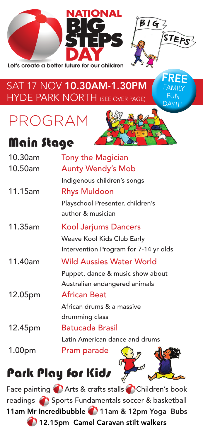



FREE FAMILY FUN DAY!!!

#### SAT 17 NOV 10.30AM-1.30PM HYDE PARK NORTH (SEE OVER PAGE)

PROGRAM

### Main Stage

| 10.30am | <b>Tony the Magician</b>              |
|---------|---------------------------------------|
| 10.50am | <b>Aunty Wendy's Mob</b>              |
|         | Indigenous children's songs           |
| 11.15am | <b>Rhys Muldoon</b>                   |
|         | Playschool Presenter, children's      |
|         | author & musician                     |
| 11.35am | <b>Kool Jarjums Dancers</b>           |
|         | Weave Kool Kids Club Early            |
|         | Intervention Program for 7-14 yr olds |
| 11.40am | <b>Wild Aussies Water World</b>       |
|         | Puppet, dance & music show about      |
|         | Australian endangered animals         |
| 12.05pm | <b>African Beat</b>                   |
|         | African drums & a massive             |
|         | drumming class                        |
| 12.45pm | <b>Batucada Brasil</b>                |
|         | Latin American dance and drums        |
| 1.00pm  | Pram parade                           |

# Park Play for Kids

Face painting **C** Arts & crafts stalls C Children's book readings **Sports Fundamentals soccer & basketball** 11am Mr Incredibubble 11am & 12pm Yoga Bubs 12.15pm Camel Caravan stilt walkers

on the fact of